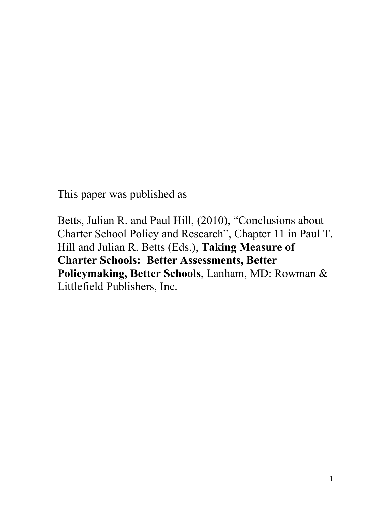This paper was published as

Betts, Julian R. and Paul Hill, (2010), "Conclusions about Charter School Policy and Research", Chapter 11 in Paul T. Hill and Julian R. Betts (Eds.), **Taking Measure of Charter Schools: Better Assessments, Better Policymaking, Better Schools**, Lanham, MD: Rowman & Littlefield Publishers, Inc.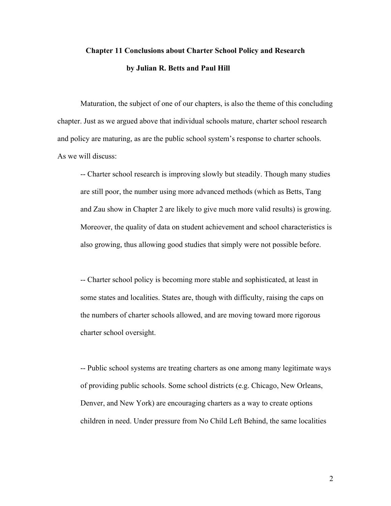# **Chapter 11 Conclusions about Charter School Policy and Research by Julian R. Betts and Paul Hill**

Maturation, the subject of one of our chapters, is also the theme of this concluding chapter. Just as we argued above that individual schools mature, charter school research and policy are maturing, as are the public school system's response to charter schools. As we will discuss:

-- Charter school research is improving slowly but steadily. Though many studies are still poor, the number using more advanced methods (which as Betts, Tang and Zau show in Chapter 2 are likely to give much more valid results) is growing. Moreover, the quality of data on student achievement and school characteristics is also growing, thus allowing good studies that simply were not possible before.

-- Charter school policy is becoming more stable and sophisticated, at least in some states and localities. States are, though with difficulty, raising the caps on the numbers of charter schools allowed, and are moving toward more rigorous charter school oversight.

-- Public school systems are treating charters as one among many legitimate ways of providing public schools. Some school districts (e.g. Chicago, New Orleans, Denver, and New York) are encouraging charters as a way to create options children in need. Under pressure from No Child Left Behind, the same localities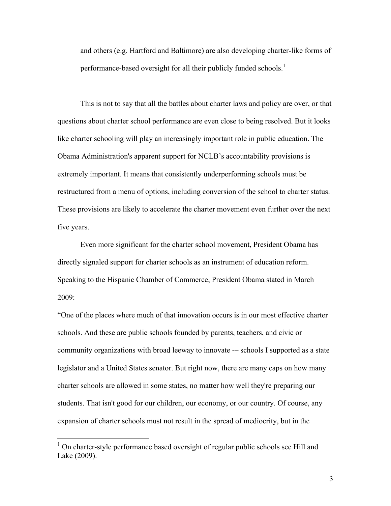and others (e.g. Hartford and Baltimore) are also developing charter-like forms of performance-based oversight for all their publicly funded schools.<sup>1</sup>

This is not to say that all the battles about charter laws and policy are over, or that questions about charter school performance are even close to being resolved. But it looks like charter schooling will play an increasingly important role in public education. The Obama Administration's apparent support for NCLB's accountability provisions is extremely important. It means that consistently underperforming schools must be restructured from a menu of options, including conversion of the school to charter status. These provisions are likely to accelerate the charter movement even further over the next five years.

Even more significant for the charter school movement, President Obama has directly signaled support for charter schools as an instrument of education reform. Speaking to the Hispanic Chamber of Commerce, President Obama stated in March 2009:

"One of the places where much of that innovation occurs is in our most effective charter schools. And these are public schools founded by parents, teachers, and civic or community organizations with broad leeway to innovate — schools I supported as a state legislator and a United States senator. But right now, there are many caps on how many charter schools are allowed in some states, no matter how well they're preparing our students. That isn't good for our children, our economy, or our country. Of course, any expansion of charter schools must not result in the spread of mediocrity, but in the

 $1$  On charter-style performance based oversight of regular public schools see Hill and Lake (2009).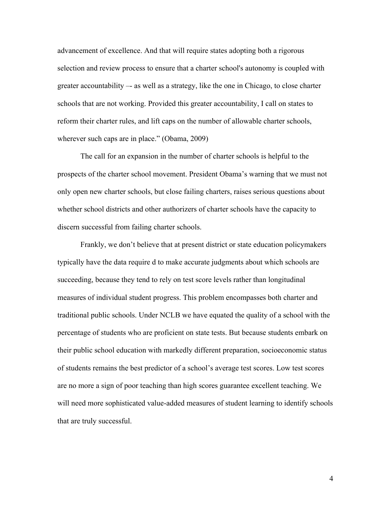advancement of excellence. And that will require states adopting both a rigorous selection and review process to ensure that a charter school's autonomy is coupled with greater accountability –- as well as a strategy, like the one in Chicago, to close charter schools that are not working. Provided this greater accountability, I call on states to reform their charter rules, and lift caps on the number of allowable charter schools, wherever such caps are in place." (Obama, 2009)

The call for an expansion in the number of charter schools is helpful to the prospects of the charter school movement. President Obama's warning that we must not only open new charter schools, but close failing charters, raises serious questions about whether school districts and other authorizers of charter schools have the capacity to discern successful from failing charter schools.

Frankly, we don't believe that at present district or state education policymakers typically have the data require d to make accurate judgments about which schools are succeeding, because they tend to rely on test score levels rather than longitudinal measures of individual student progress. This problem encompasses both charter and traditional public schools. Under NCLB we have equated the quality of a school with the percentage of students who are proficient on state tests. But because students embark on their public school education with markedly different preparation, socioeconomic status of students remains the best predictor of a school's average test scores. Low test scores are no more a sign of poor teaching than high scores guarantee excellent teaching. We will need more sophisticated value-added measures of student learning to identify schools that are truly successful.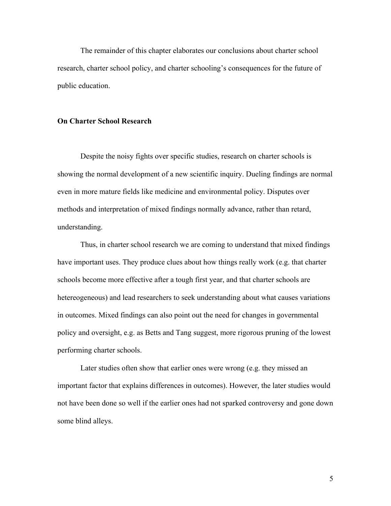The remainder of this chapter elaborates our conclusions about charter school research, charter school policy, and charter schooling's consequences for the future of public education.

### **On Charter School Research**

Despite the noisy fights over specific studies, research on charter schools is showing the normal development of a new scientific inquiry. Dueling findings are normal even in more mature fields like medicine and environmental policy. Disputes over methods and interpretation of mixed findings normally advance, rather than retard, understanding.

Thus, in charter school research we are coming to understand that mixed findings have important uses. They produce clues about how things really work (e.g. that charter schools become more effective after a tough first year, and that charter schools are hetereogeneous) and lead researchers to seek understanding about what causes variations in outcomes. Mixed findings can also point out the need for changes in governmental policy and oversight, e.g. as Betts and Tang suggest, more rigorous pruning of the lowest performing charter schools.

Later studies often show that earlier ones were wrong (e.g. they missed an important factor that explains differences in outcomes). However, the later studies would not have been done so well if the earlier ones had not sparked controversy and gone down some blind alleys.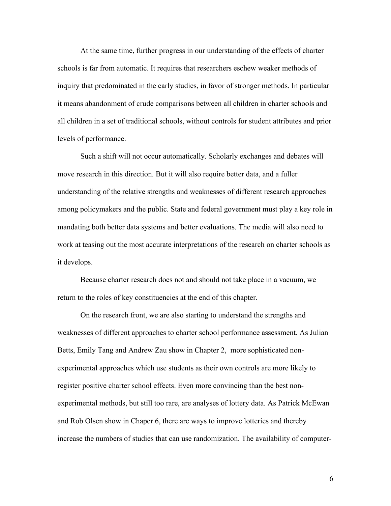At the same time, further progress in our understanding of the effects of charter schools is far from automatic. It requires that researchers eschew weaker methods of inquiry that predominated in the early studies, in favor of stronger methods. In particular it means abandonment of crude comparisons between all children in charter schools and all children in a set of traditional schools, without controls for student attributes and prior levels of performance.

Such a shift will not occur automatically. Scholarly exchanges and debates will move research in this direction. But it will also require better data, and a fuller understanding of the relative strengths and weaknesses of different research approaches among policymakers and the public. State and federal government must play a key role in mandating both better data systems and better evaluations. The media will also need to work at teasing out the most accurate interpretations of the research on charter schools as it develops.

Because charter research does not and should not take place in a vacuum, we return to the roles of key constituencies at the end of this chapter.

On the research front, we are also starting to understand the strengths and weaknesses of different approaches to charter school performance assessment. As Julian Betts, Emily Tang and Andrew Zau show in Chapter 2, more sophisticated nonexperimental approaches which use students as their own controls are more likely to register positive charter school effects. Even more convincing than the best nonexperimental methods, but still too rare, are analyses of lottery data. As Patrick McEwan and Rob Olsen show in Chaper 6, there are ways to improve lotteries and thereby increase the numbers of studies that can use randomization. The availability of computer-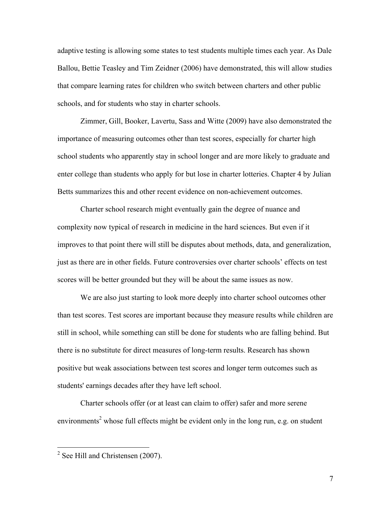adaptive testing is allowing some states to test students multiple times each year. As Dale Ballou, Bettie Teasley and Tim Zeidner (2006) have demonstrated, this will allow studies that compare learning rates for children who switch between charters and other public schools, and for students who stay in charter schools.

Zimmer, Gill, Booker, Lavertu, Sass and Witte (2009) have also demonstrated the importance of measuring outcomes other than test scores, especially for charter high school students who apparently stay in school longer and are more likely to graduate and enter college than students who apply for but lose in charter lotteries. Chapter 4 by Julian Betts summarizes this and other recent evidence on non-achievement outcomes.

Charter school research might eventually gain the degree of nuance and complexity now typical of research in medicine in the hard sciences. But even if it improves to that point there will still be disputes about methods, data, and generalization, just as there are in other fields. Future controversies over charter schools' effects on test scores will be better grounded but they will be about the same issues as now.

We are also just starting to look more deeply into charter school outcomes other than test scores. Test scores are important because they measure results while children are still in school, while something can still be done for students who are falling behind. But there is no substitute for direct measures of long-term results. Research has shown positive but weak associations between test scores and longer term outcomes such as students' earnings decades after they have left school.

Charter schools offer (or at least can claim to offer) safer and more serene environments<sup>2</sup> whose full effects might be evident only in the long run, e.g. on student

 $2$  See Hill and Christensen (2007).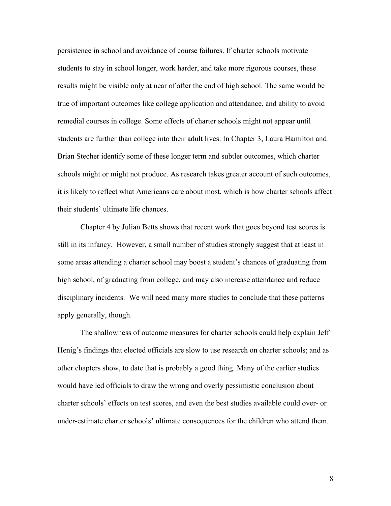persistence in school and avoidance of course failures. If charter schools motivate students to stay in school longer, work harder, and take more rigorous courses, these results might be visible only at near of after the end of high school. The same would be true of important outcomes like college application and attendance, and ability to avoid remedial courses in college. Some effects of charter schools might not appear until students are further than college into their adult lives. In Chapter 3, Laura Hamilton and Brian Stecher identify some of these longer term and subtler outcomes, which charter schools might or might not produce. As research takes greater account of such outcomes, it is likely to reflect what Americans care about most, which is how charter schools affect their students' ultimate life chances.

Chapter 4 by Julian Betts shows that recent work that goes beyond test scores is still in its infancy. However, a small number of studies strongly suggest that at least in some areas attending a charter school may boost a student's chances of graduating from high school, of graduating from college, and may also increase attendance and reduce disciplinary incidents. We will need many more studies to conclude that these patterns apply generally, though.

The shallowness of outcome measures for charter schools could help explain Jeff Henig's findings that elected officials are slow to use research on charter schools; and as other chapters show, to date that is probably a good thing. Many of the earlier studies would have led officials to draw the wrong and overly pessimistic conclusion about charter schools' effects on test scores, and even the best studies available could over- or under-estimate charter schools' ultimate consequences for the children who attend them.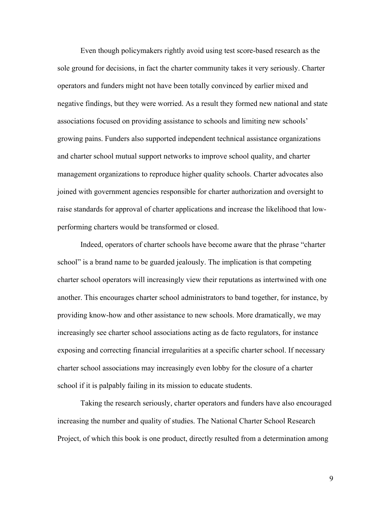Even though policymakers rightly avoid using test score-based research as the sole ground for decisions, in fact the charter community takes it very seriously. Charter operators and funders might not have been totally convinced by earlier mixed and negative findings, but they were worried. As a result they formed new national and state associations focused on providing assistance to schools and limiting new schools' growing pains. Funders also supported independent technical assistance organizations and charter school mutual support networks to improve school quality, and charter management organizations to reproduce higher quality schools. Charter advocates also joined with government agencies responsible for charter authorization and oversight to raise standards for approval of charter applications and increase the likelihood that lowperforming charters would be transformed or closed.

Indeed, operators of charter schools have become aware that the phrase "charter school" is a brand name to be guarded jealously. The implication is that competing charter school operators will increasingly view their reputations as intertwined with one another. This encourages charter school administrators to band together, for instance, by providing know-how and other assistance to new schools. More dramatically, we may increasingly see charter school associations acting as de facto regulators, for instance exposing and correcting financial irregularities at a specific charter school. If necessary charter school associations may increasingly even lobby for the closure of a charter school if it is palpably failing in its mission to educate students.

Taking the research seriously, charter operators and funders have also encouraged increasing the number and quality of studies. The National Charter School Research Project, of which this book is one product, directly resulted from a determination among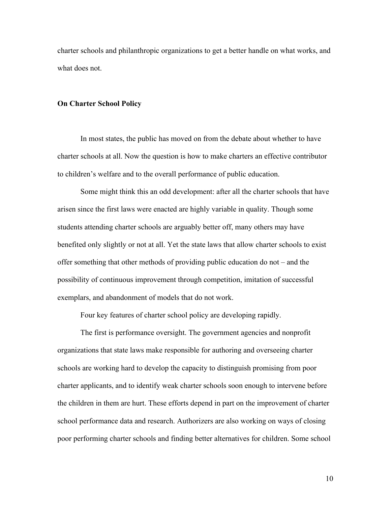charter schools and philanthropic organizations to get a better handle on what works, and what does not.

#### **On Charter School Policy**

In most states, the public has moved on from the debate about whether to have charter schools at all. Now the question is how to make charters an effective contributor to children's welfare and to the overall performance of public education.

Some might think this an odd development: after all the charter schools that have arisen since the first laws were enacted are highly variable in quality. Though some students attending charter schools are arguably better off, many others may have benefited only slightly or not at all. Yet the state laws that allow charter schools to exist offer something that other methods of providing public education do not – and the possibility of continuous improvement through competition, imitation of successful exemplars, and abandonment of models that do not work.

Four key features of charter school policy are developing rapidly.

The first is performance oversight. The government agencies and nonprofit organizations that state laws make responsible for authoring and overseeing charter schools are working hard to develop the capacity to distinguish promising from poor charter applicants, and to identify weak charter schools soon enough to intervene before the children in them are hurt. These efforts depend in part on the improvement of charter school performance data and research. Authorizers are also working on ways of closing poor performing charter schools and finding better alternatives for children. Some school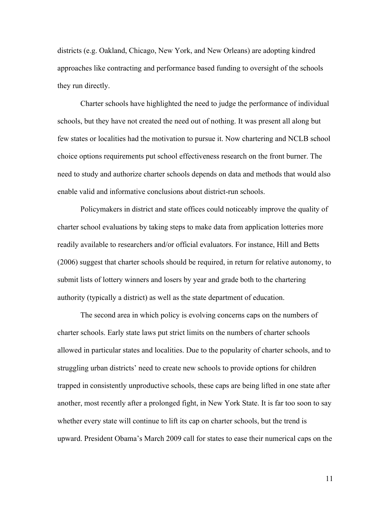districts (e.g. Oakland, Chicago, New York, and New Orleans) are adopting kindred approaches like contracting and performance based funding to oversight of the schools they run directly.

Charter schools have highlighted the need to judge the performance of individual schools, but they have not created the need out of nothing. It was present all along but few states or localities had the motivation to pursue it. Now chartering and NCLB school choice options requirements put school effectiveness research on the front burner. The need to study and authorize charter schools depends on data and methods that would also enable valid and informative conclusions about district-run schools.

Policymakers in district and state offices could noticeably improve the quality of charter school evaluations by taking steps to make data from application lotteries more readily available to researchers and/or official evaluators. For instance, Hill and Betts (2006) suggest that charter schools should be required, in return for relative autonomy, to submit lists of lottery winners and losers by year and grade both to the chartering authority (typically a district) as well as the state department of education.

The second area in which policy is evolving concerns caps on the numbers of charter schools. Early state laws put strict limits on the numbers of charter schools allowed in particular states and localities. Due to the popularity of charter schools, and to struggling urban districts' need to create new schools to provide options for children trapped in consistently unproductive schools, these caps are being lifted in one state after another, most recently after a prolonged fight, in New York State. It is far too soon to say whether every state will continue to lift its cap on charter schools, but the trend is upward. President Obama's March 2009 call for states to ease their numerical caps on the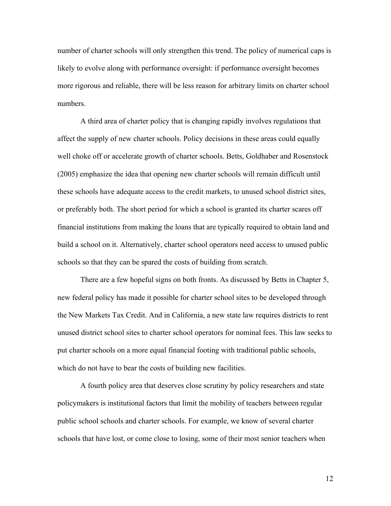number of charter schools will only strengthen this trend. The policy of numerical caps is likely to evolve along with performance oversight: if performance oversight becomes more rigorous and reliable, there will be less reason for arbitrary limits on charter school numbers.

A third area of charter policy that is changing rapidly involves regulations that affect the supply of new charter schools. Policy decisions in these areas could equally well choke off or accelerate growth of charter schools. Betts, Goldhaber and Rosenstock (2005) emphasize the idea that opening new charter schools will remain difficult until these schools have adequate access to the credit markets, to unused school district sites, or preferably both. The short period for which a school is granted its charter scares off financial institutions from making the loans that are typically required to obtain land and build a school on it. Alternatively, charter school operators need access to unused public schools so that they can be spared the costs of building from scratch.

There are a few hopeful signs on both fronts. As discussed by Betts in Chapter 5, new federal policy has made it possible for charter school sites to be developed through the New Markets Tax Credit. And in California, a new state law requires districts to rent unused district school sites to charter school operators for nominal fees. This law seeks to put charter schools on a more equal financial footing with traditional public schools, which do not have to bear the costs of building new facilities.

A fourth policy area that deserves close scrutiny by policy researchers and state policymakers is institutional factors that limit the mobility of teachers between regular public school schools and charter schools. For example, we know of several charter schools that have lost, or come close to losing, some of their most senior teachers when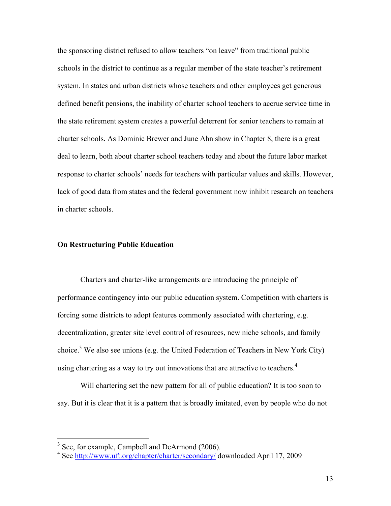the sponsoring district refused to allow teachers "on leave" from traditional public schools in the district to continue as a regular member of the state teacher's retirement system. In states and urban districts whose teachers and other employees get generous defined benefit pensions, the inability of charter school teachers to accrue service time in the state retirement system creates a powerful deterrent for senior teachers to remain at charter schools. As Dominic Brewer and June Ahn show in Chapter 8, there is a great deal to learn, both about charter school teachers today and about the future labor market response to charter schools' needs for teachers with particular values and skills. However, lack of good data from states and the federal government now inhibit research on teachers in charter schools.

# **On Restructuring Public Education**

Charters and charter-like arrangements are introducing the principle of performance contingency into our public education system. Competition with charters is forcing some districts to adopt features commonly associated with chartering, e.g. decentralization, greater site level control of resources, new niche schools, and family choice.<sup>3</sup> We also see unions (e.g. the United Federation of Teachers in New York City) using chartering as a way to try out innovations that are attractive to teachers.<sup>4</sup>

Will chartering set the new pattern for all of public education? It is too soon to say. But it is clear that it is a pattern that is broadly imitated, even by people who do not

<sup>&</sup>lt;sup>3</sup> See, for example, Campbell and DeArmond (2006).<br><sup>4</sup> See http://www.uft.org/chapter/charter/secondary/ downloaded April 17, 2009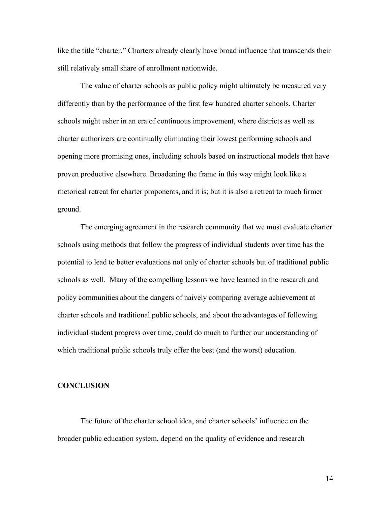like the title "charter." Charters already clearly have broad influence that transcends their still relatively small share of enrollment nationwide.

The value of charter schools as public policy might ultimately be measured very differently than by the performance of the first few hundred charter schools. Charter schools might usher in an era of continuous improvement, where districts as well as charter authorizers are continually eliminating their lowest performing schools and opening more promising ones, including schools based on instructional models that have proven productive elsewhere. Broadening the frame in this way might look like a rhetorical retreat for charter proponents, and it is; but it is also a retreat to much firmer ground.

The emerging agreement in the research community that we must evaluate charter schools using methods that follow the progress of individual students over time has the potential to lead to better evaluations not only of charter schools but of traditional public schools as well. Many of the compelling lessons we have learned in the research and policy communities about the dangers of naively comparing average achievement at charter schools and traditional public schools, and about the advantages of following individual student progress over time, could do much to further our understanding of which traditional public schools truly offer the best (and the worst) education.

# **CONCLUSION**

The future of the charter school idea, and charter schools' influence on the broader public education system, depend on the quality of evidence and research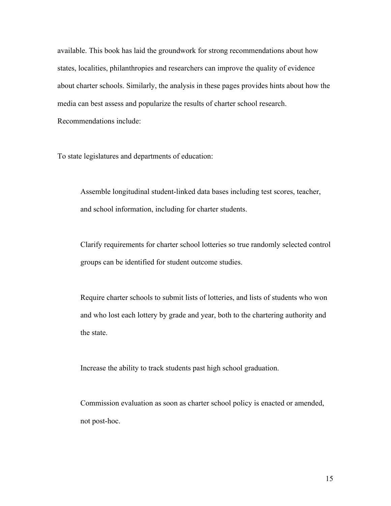available. This book has laid the groundwork for strong recommendations about how states, localities, philanthropies and researchers can improve the quality of evidence about charter schools. Similarly, the analysis in these pages provides hints about how the media can best assess and popularize the results of charter school research. Recommendations include:

To state legislatures and departments of education:

Assemble longitudinal student-linked data bases including test scores, teacher, and school information, including for charter students.

Clarify requirements for charter school lotteries so true randomly selected control groups can be identified for student outcome studies.

Require charter schools to submit lists of lotteries, and lists of students who won and who lost each lottery by grade and year, both to the chartering authority and the state.

Increase the ability to track students past high school graduation.

Commission evaluation as soon as charter school policy is enacted or amended, not post-hoc.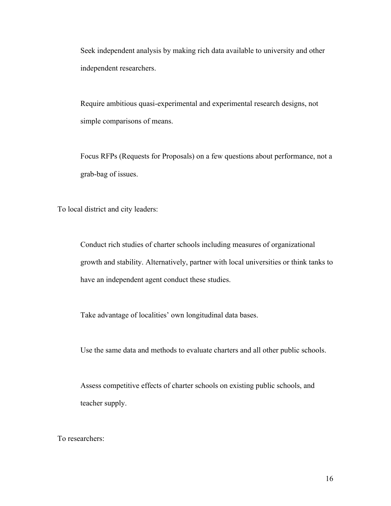Seek independent analysis by making rich data available to university and other independent researchers.

Require ambitious quasi-experimental and experimental research designs, not simple comparisons of means.

Focus RFPs (Requests for Proposals) on a few questions about performance, not a grab-bag of issues.

To local district and city leaders:

Conduct rich studies of charter schools including measures of organizational growth and stability. Alternatively, partner with local universities or think tanks to have an independent agent conduct these studies.

Take advantage of localities' own longitudinal data bases.

Use the same data and methods to evaluate charters and all other public schools.

Assess competitive effects of charter schools on existing public schools, and teacher supply.

To researchers: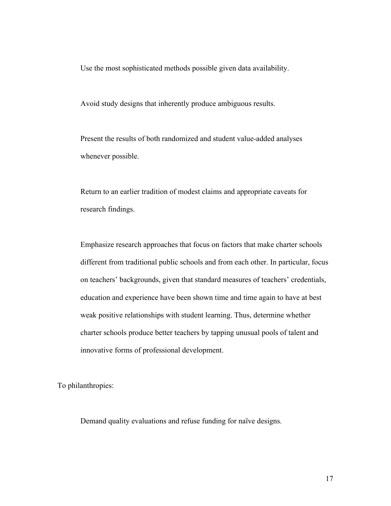Use the most sophisticated methods possible given data availability.

Avoid study designs that inherently produce ambiguous results.

Present the results of both randomized and student value-added analyses whenever possible.

Return to an earlier tradition of modest claims and appropriate caveats for research findings.

Emphasize research approaches that focus on factors that make charter schools different from traditional public schools and from each other. In particular, focus on teachers' backgrounds, given that standard measures of teachers' credentials, education and experience have been shown time and time again to have at best weak positive relationships with student learning. Thus, determine whether charter schools produce better teachers by tapping unusual pools of talent and innovative forms of professional development.

To philanthropies:

Demand quality evaluations and refuse funding for naïve designs.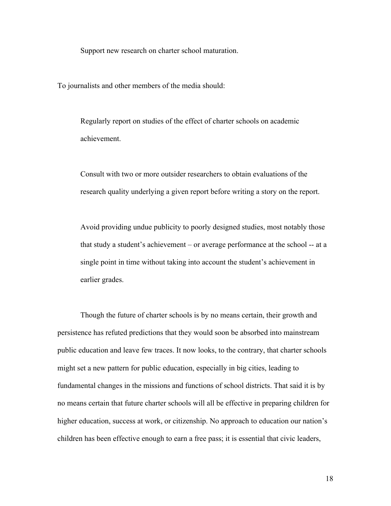Support new research on charter school maturation.

To journalists and other members of the media should:

Regularly report on studies of the effect of charter schools on academic achievement.

Consult with two or more outsider researchers to obtain evaluations of the research quality underlying a given report before writing a story on the report.

Avoid providing undue publicity to poorly designed studies, most notably those that study a student's achievement – or average performance at the school -- at a single point in time without taking into account the student's achievement in earlier grades.

Though the future of charter schools is by no means certain, their growth and persistence has refuted predictions that they would soon be absorbed into mainstream public education and leave few traces. It now looks, to the contrary, that charter schools might set a new pattern for public education, especially in big cities, leading to fundamental changes in the missions and functions of school districts. That said it is by no means certain that future charter schools will all be effective in preparing children for higher education, success at work, or citizenship. No approach to education our nation's children has been effective enough to earn a free pass; it is essential that civic leaders,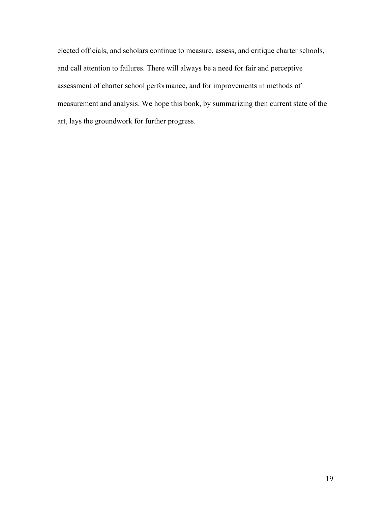elected officials, and scholars continue to measure, assess, and critique charter schools, and call attention to failures. There will always be a need for fair and perceptive assessment of charter school performance, and for improvements in methods of measurement and analysis. We hope this book, by summarizing then current state of the art, lays the groundwork for further progress.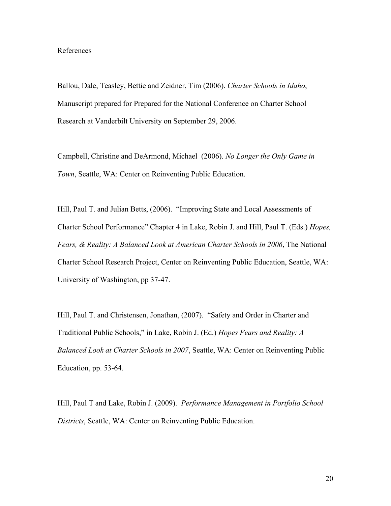### References

Ballou, Dale, Teasley, Bettie and Zeidner, Tim (2006). *Charter Schools in Idaho*, Manuscript prepared for Prepared for the National Conference on Charter School Research at Vanderbilt University on September 29, 2006.

Campbell, Christine and DeArmond, Michael (2006). *No Longer the Only Game in Town*, Seattle, WA: Center on Reinventing Public Education.

Hill, Paul T. and Julian Betts, (2006). "Improving State and Local Assessments of Charter School Performance" Chapter 4 in Lake, Robin J. and Hill, Paul T. (Eds.) *Hopes, Fears, & Reality: A Balanced Look at American Charter Schools in 2006*, The National Charter School Research Project, Center on Reinventing Public Education, Seattle, WA: University of Washington, pp 37-47.

Hill, Paul T. and Christensen, Jonathan, (2007). "Safety and Order in Charter and Traditional Public Schools," in Lake, Robin J. (Ed.) *Hopes Fears and Reality: A Balanced Look at Charter Schools in 2007*, Seattle, WA: Center on Reinventing Public Education, pp. 53-64.

Hill, Paul T and Lake, Robin J. (2009). *Performance Management in Portfolio School Districts*, Seattle, WA: Center on Reinventing Public Education.